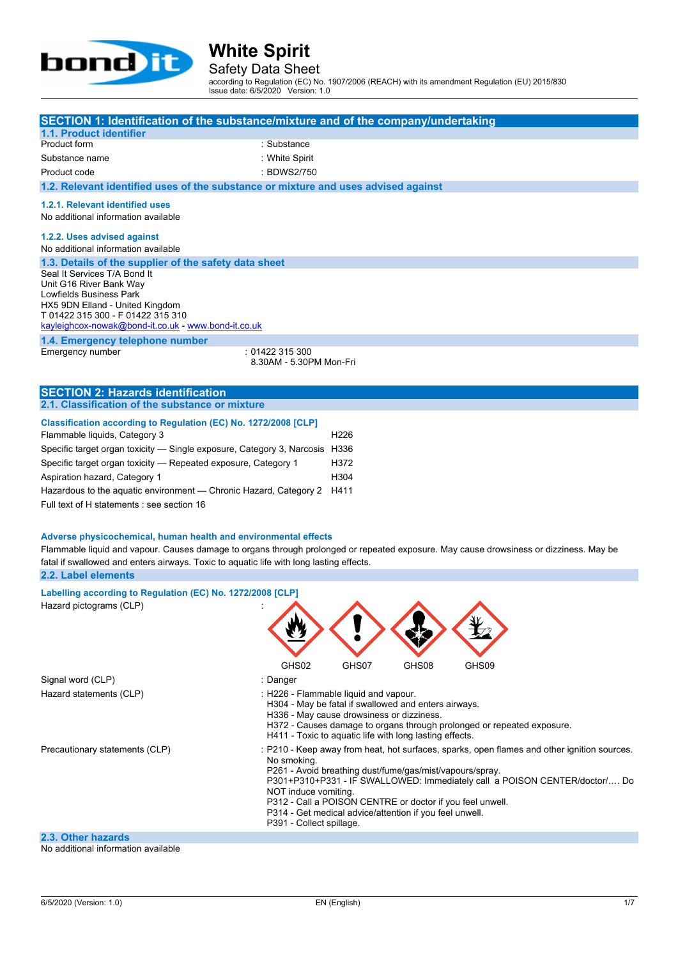

Safety Data Sheet

according to Regulation (EC) No. 1907/2006 (REACH) with its amendment Regulation (EU) 2015/830 Issue date: 6/5/2020 Version: 1.0

| SECTION 1: Identification of the substance/mixture and of the company/undertaking                                                                                                                                                                                                                                                                                                                     |                                                                                                                                                                                                                                                     |                                          |       |                                                                                                                                                                           |
|-------------------------------------------------------------------------------------------------------------------------------------------------------------------------------------------------------------------------------------------------------------------------------------------------------------------------------------------------------------------------------------------------------|-----------------------------------------------------------------------------------------------------------------------------------------------------------------------------------------------------------------------------------------------------|------------------------------------------|-------|---------------------------------------------------------------------------------------------------------------------------------------------------------------------------|
| 1.1. Product identifier<br>Product form                                                                                                                                                                                                                                                                                                                                                               | : Substance                                                                                                                                                                                                                                         |                                          |       |                                                                                                                                                                           |
| Substance name                                                                                                                                                                                                                                                                                                                                                                                        | : White Spirit                                                                                                                                                                                                                                      |                                          |       |                                                                                                                                                                           |
| Product code                                                                                                                                                                                                                                                                                                                                                                                          | : BDWS2/750                                                                                                                                                                                                                                         |                                          |       |                                                                                                                                                                           |
| 1.2. Relevant identified uses of the substance or mixture and uses advised against                                                                                                                                                                                                                                                                                                                    |                                                                                                                                                                                                                                                     |                                          |       |                                                                                                                                                                           |
| 1.2.1. Relevant identified uses                                                                                                                                                                                                                                                                                                                                                                       |                                                                                                                                                                                                                                                     |                                          |       |                                                                                                                                                                           |
| No additional information available                                                                                                                                                                                                                                                                                                                                                                   |                                                                                                                                                                                                                                                     |                                          |       |                                                                                                                                                                           |
| 1.2.2. Uses advised against<br>No additional information available                                                                                                                                                                                                                                                                                                                                    |                                                                                                                                                                                                                                                     |                                          |       |                                                                                                                                                                           |
| 1.3. Details of the supplier of the safety data sheet<br>Seal It Services T/A Bond It<br>Unit G16 River Bank Way<br>Lowfields Business Park<br>HX5 9DN Elland - United Kingdom<br>T 01422 315 300 - F 01422 315 310<br>kayleighcox-nowak@bond-it.co.uk - www.bond-it.co.uk                                                                                                                            |                                                                                                                                                                                                                                                     |                                          |       |                                                                                                                                                                           |
| 1.4. Emergency telephone number                                                                                                                                                                                                                                                                                                                                                                       | :01422315300                                                                                                                                                                                                                                        |                                          |       |                                                                                                                                                                           |
| Emergency number                                                                                                                                                                                                                                                                                                                                                                                      | 8.30AM - 5.30PM Mon-Fri                                                                                                                                                                                                                             |                                          |       |                                                                                                                                                                           |
|                                                                                                                                                                                                                                                                                                                                                                                                       |                                                                                                                                                                                                                                                     |                                          |       |                                                                                                                                                                           |
| <b>SECTION 2: Hazards identification</b>                                                                                                                                                                                                                                                                                                                                                              |                                                                                                                                                                                                                                                     |                                          |       |                                                                                                                                                                           |
| 2.1. Classification of the substance or mixture                                                                                                                                                                                                                                                                                                                                                       |                                                                                                                                                                                                                                                     |                                          |       |                                                                                                                                                                           |
| Classification according to Regulation (EC) No. 1272/2008 [CLP]<br>Flammable liquids, Category 3<br>Specific target organ toxicity - Single exposure, Category 3, Narcosis H336<br>Specific target organ toxicity - Repeated exposure, Category 1<br>Aspiration hazard, Category 1<br>Hazardous to the aquatic environment — Chronic Hazard, Category 2<br>Full text of H statements : see section 16 |                                                                                                                                                                                                                                                     | H <sub>226</sub><br>H372<br>H304<br>H411 |       |                                                                                                                                                                           |
| Adverse physicochemical, human health and environmental effects<br>Flammable liquid and vapour. Causes damage to organs through prolonged or repeated exposure. May cause drowsiness or dizziness. May be<br>fatal if swallowed and enters airways. Toxic to aquatic life with long lasting effects.<br>2.2. Label elements                                                                           |                                                                                                                                                                                                                                                     |                                          |       |                                                                                                                                                                           |
|                                                                                                                                                                                                                                                                                                                                                                                                       |                                                                                                                                                                                                                                                     |                                          |       |                                                                                                                                                                           |
| Labelling according to Regulation (EC) No. 1272/2008 [CLP]<br>Hazard pictograms (CLP)                                                                                                                                                                                                                                                                                                                 |                                                                                                                                                                                                                                                     |                                          |       |                                                                                                                                                                           |
|                                                                                                                                                                                                                                                                                                                                                                                                       | GHS02                                                                                                                                                                                                                                               | GHS07                                    | GHS08 | GHS09                                                                                                                                                                     |
| Signal word (CLP)                                                                                                                                                                                                                                                                                                                                                                                     | : Danger                                                                                                                                                                                                                                            |                                          |       |                                                                                                                                                                           |
| Hazard statements (CLP)                                                                                                                                                                                                                                                                                                                                                                               | : H226 - Flammable liquid and vapour.<br>H304 - May be fatal if swallowed and enters airways.<br>H336 - May cause drowsiness or dizziness.<br>H411 - Toxic to aquatic life with long lasting effects.                                               |                                          |       | H372 - Causes damage to organs through prolonged or repeated exposure.                                                                                                    |
| Precautionary statements (CLP)                                                                                                                                                                                                                                                                                                                                                                        | No smoking.<br>P261 - Avoid breathing dust/fume/gas/mist/vapours/spray.<br>NOT induce vomiting.<br>P312 - Call a POISON CENTRE or doctor if you feel unwell.<br>P314 - Get medical advice/attention if you feel unwell.<br>P391 - Collect spillage. |                                          |       | : P210 - Keep away from heat, hot surfaces, sparks, open flames and other ignition sources.<br>P301+P310+P331 - IF SWALLOWED: Immediately call a POISON CENTER/doctor/ Do |

### **2.3. Other hazards**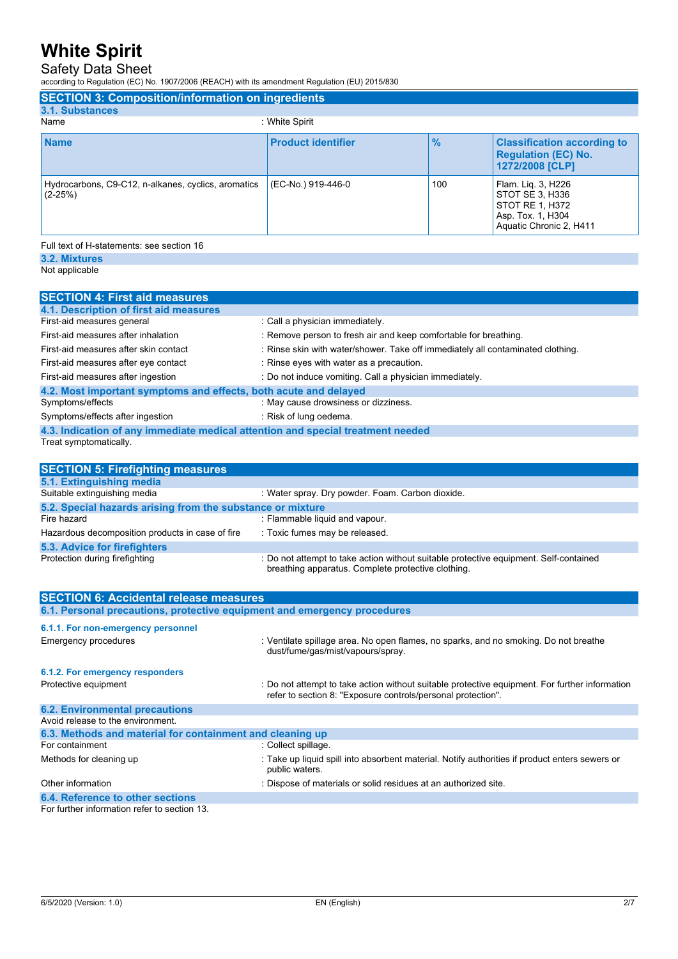### Safety Data Sheet

according to Regulation (EC) No. 1907/2006 (REACH) with its amendment Regulation (EU) 2015/830

| <b>SECTION 3: Composition/information on ingredients</b>         |                           |               |                                                                                                          |
|------------------------------------------------------------------|---------------------------|---------------|----------------------------------------------------------------------------------------------------------|
| 3.1. Substances                                                  |                           |               |                                                                                                          |
| Name                                                             | : White Spirit            |               |                                                                                                          |
| <b>Name</b>                                                      | <b>Product identifier</b> | $\frac{9}{6}$ | <b>Classification according to</b><br><b>Regulation (EC) No.</b><br>1272/2008 [CLP]                      |
| Hydrocarbons, C9-C12, n-alkanes, cyclics, aromatics<br>$(2-25%)$ | (EC-No.) 919-446-0        | 100           | Flam. Lig. 3, H226<br>STOT SE 3, H336<br>STOT RE 1, H372<br>Asp. Tox. 1, H304<br>Aquatic Chronic 2, H411 |
| Full text of H-statements: see section 16                        |                           |               |                                                                                                          |

**3.2. Mixtures** Not applicable

**SECTION 4: First aid measures 4.1. Description of first aid measures** First-aid measures general interval in the call a physician immediately. First-aid measures after inhalation : Remove person to fresh air and keep comfortable for breathing. First-aid measures after skin contact : Rinse skin with water/shower. Take off immediately all contaminated clothing. First-aid measures after eye contact : Rinse eyes with water as a precaution. First-aid measures after ingestion : Do not induce vomiting. Call a physician immediately. **4.2. Most important symptoms and effects, both acute and delayed** Symptoms/effects : May cause drowsiness or dizziness. Symptoms/effects after ingestion : Risk of lung oedema. **4.3. Indication of any immediate medical attention and special treatment needed** Treat symptomatically.

| <b>SECTION 5: Firefighting measures</b>                                  |                                                                                                                                             |
|--------------------------------------------------------------------------|---------------------------------------------------------------------------------------------------------------------------------------------|
| 5.1. Extinguishing media                                                 |                                                                                                                                             |
| Suitable extinguishing media                                             | : Water spray. Dry powder. Foam. Carbon dioxide.                                                                                            |
| 5.2. Special hazards arising from the substance or mixture               |                                                                                                                                             |
| Fire hazard                                                              | : Flammable liquid and vapour.                                                                                                              |
| Hazardous decomposition products in case of fire                         | : Toxic fumes may be released.                                                                                                              |
| 5.3. Advice for firefighters                                             |                                                                                                                                             |
| Protection during firefighting                                           | : Do not attempt to take action without suitable protective equipment. Self-contained<br>breathing apparatus. Complete protective clothing. |
| <b>SECTION 6: Accidental release measures</b>                            |                                                                                                                                             |
| 6.1. Personal precautions, protective equipment and emergency procedures |                                                                                                                                             |
| 6.1.1. For non-emergency personnel<br>Francesco Luccoolings              | . Vantilate enillage area. Ne enen flames, ne energe, and ne emaking. De net breathe                                                        |

| Emergency procedures                                      | : ventilate spillage area. No open liames, no sparks, and no smoking. Do not preathe<br>dust/fume/gas/mist/vapours/spray.                                      |
|-----------------------------------------------------------|----------------------------------------------------------------------------------------------------------------------------------------------------------------|
| 6.1.2. For emergency responders                           |                                                                                                                                                                |
| Protective equipment                                      | : Do not attempt to take action without suitable protective equipment. For further information<br>refer to section 8: "Exposure controls/personal protection". |
| <b>6.2. Environmental precautions</b>                     |                                                                                                                                                                |
| Avoid release to the environment.                         |                                                                                                                                                                |
| 6.3. Methods and material for containment and cleaning up |                                                                                                                                                                |
| For containment                                           | : Collect spillage.                                                                                                                                            |
| Methods for cleaning up                                   | : Take up liquid spill into absorbent material. Notify authorities if product enters sewers or<br>public waters.                                               |
| Other information                                         | : Dispose of materials or solid residues at an authorized site.                                                                                                |
| 6.4. Reference to other sections                          |                                                                                                                                                                |
|                                                           |                                                                                                                                                                |

For further information refer to section 13.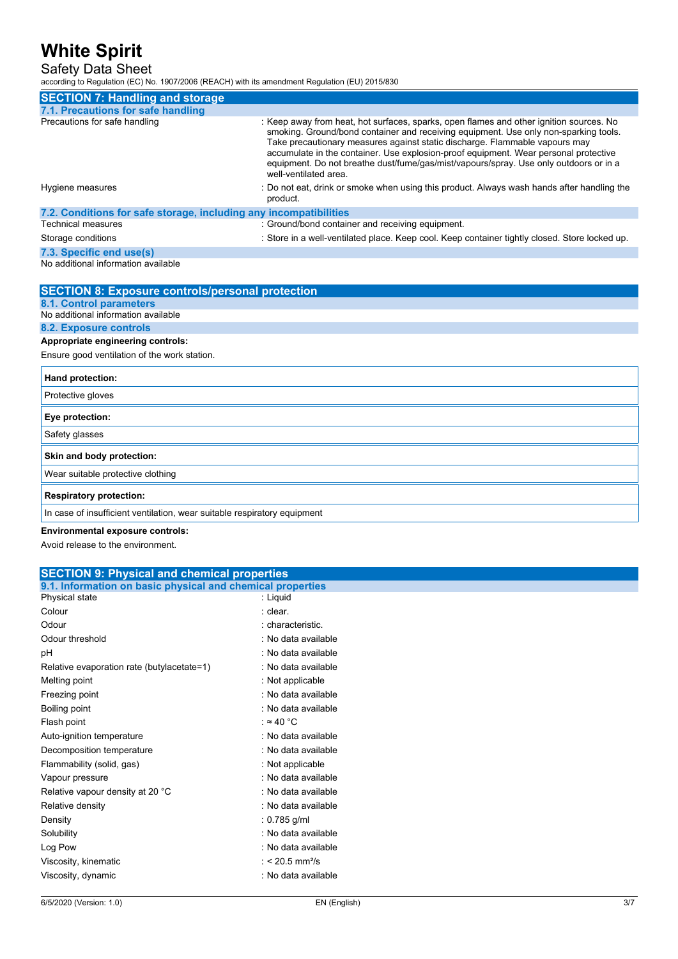#### Safety Data Sheet

according to Regulation (EC) No. 1907/2006 (REACH) with its amendment Regulation (EU) 2015/830

| <b>SECTION 7: Handling and storage</b>                            |                                                                                                                                                                                                                                                                                                                                                                                                                                                                          |
|-------------------------------------------------------------------|--------------------------------------------------------------------------------------------------------------------------------------------------------------------------------------------------------------------------------------------------------------------------------------------------------------------------------------------------------------------------------------------------------------------------------------------------------------------------|
| 7.1. Precautions for safe handling                                |                                                                                                                                                                                                                                                                                                                                                                                                                                                                          |
| Precautions for safe handling                                     | : Keep away from heat, hot surfaces, sparks, open flames and other ignition sources. No<br>smoking. Ground/bond container and receiving equipment. Use only non-sparking tools.<br>Take precautionary measures against static discharge. Flammable vapours may<br>accumulate in the container. Use explosion-proof equipment. Wear personal protective<br>equipment. Do not breathe dust/fume/gas/mist/vapours/spray. Use only outdoors or in a<br>well-ventilated area. |
| Hygiene measures                                                  | : Do not eat, drink or smoke when using this product. Always wash hands after handling the<br>product.                                                                                                                                                                                                                                                                                                                                                                   |
| 7.2. Conditions for safe storage, including any incompatibilities |                                                                                                                                                                                                                                                                                                                                                                                                                                                                          |
| <b>Technical measures</b>                                         | : Ground/bond container and receiving equipment.                                                                                                                                                                                                                                                                                                                                                                                                                         |
| Storage conditions                                                | : Store in a well-ventilated place. Keep cool. Keep container tightly closed. Store locked up.                                                                                                                                                                                                                                                                                                                                                                           |
| 7.3. Specific end use(s)                                          |                                                                                                                                                                                                                                                                                                                                                                                                                                                                          |

#### No additional information available

| <b>SECTION 8: Exposure controls/personal protection</b>                  |
|--------------------------------------------------------------------------|
| <b>8.1. Control parameters</b>                                           |
| No additional information available                                      |
| 8.2. Exposure controls                                                   |
| Appropriate engineering controls:                                        |
| Ensure good ventilation of the work station.                             |
| Hand protection:                                                         |
| Protective gloves                                                        |
| Eye protection:                                                          |
| Safety glasses                                                           |
| Skin and body protection:                                                |
| Wear suitable protective clothing                                        |
| <b>Respiratory protection:</b>                                           |
| In case of insufficient ventilation, wear suitable respiratory equipment |
| _                                                                        |

#### **Environmental exposure controls:**

Avoid release to the environment.

|                                                            | <b>SECTION 9: Physical and chemical properties</b> |  |  |
|------------------------------------------------------------|----------------------------------------------------|--|--|
| 9.1. Information on basic physical and chemical properties |                                                    |  |  |
| Physical state                                             | : Liquid                                           |  |  |
| Colour                                                     | : clear.                                           |  |  |
| Odour                                                      | : characteristic.                                  |  |  |
| Odour threshold                                            | : No data available                                |  |  |
| pH                                                         | : No data available                                |  |  |
| Relative evaporation rate (butylacetate=1)                 | : No data available                                |  |  |
| Melting point                                              | : Not applicable                                   |  |  |
| Freezing point                                             | : No data available                                |  |  |
| Boiling point                                              | : No data available                                |  |  |
| Flash point                                                | : $\approx 40$ °C                                  |  |  |
| Auto-ignition temperature                                  | : No data available                                |  |  |
| Decomposition temperature                                  | : No data available                                |  |  |
| Flammability (solid, gas)                                  | : Not applicable                                   |  |  |
| Vapour pressure                                            | : No data available                                |  |  |
| Relative vapour density at 20 °C                           | : No data available                                |  |  |
| Relative density                                           | : No data available                                |  |  |
| Density                                                    | : $0.785$ g/ml                                     |  |  |
| Solubility                                                 | : No data available                                |  |  |
| Log Pow                                                    | : No data available                                |  |  |
| Viscosity, kinematic                                       | : < 20.5 mm <sup>2</sup> /s                        |  |  |
| Viscosity, dynamic                                         | : No data available                                |  |  |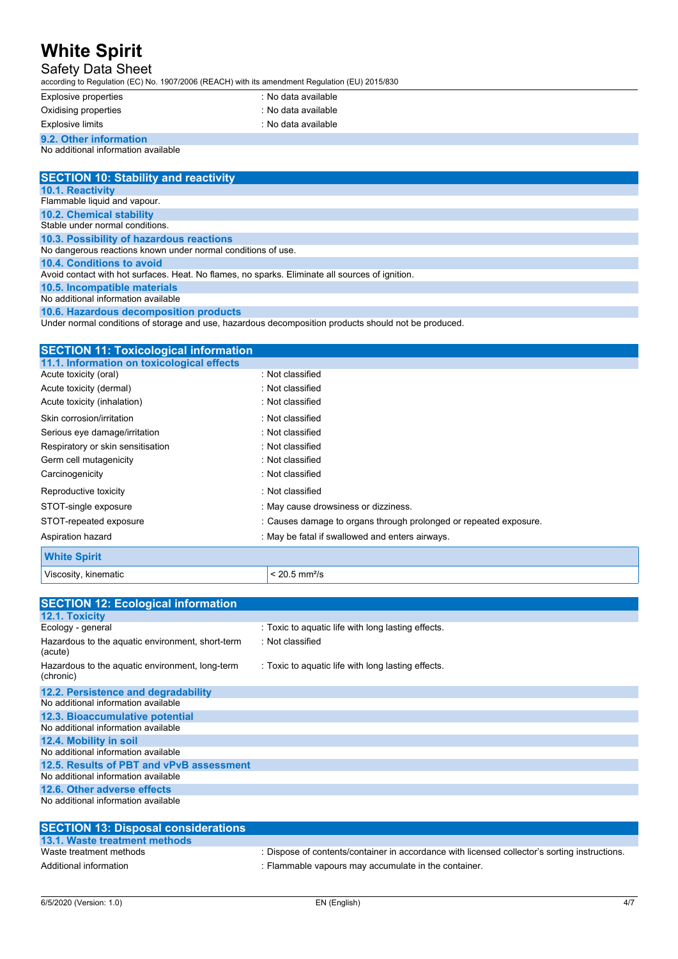### Safety Data Sheet

according to Regulation (EC) No. 1907/2006 (REACH) with its amendment Regulation (EU) 2015/830

| Explosive properties                | : No data available |
|-------------------------------------|---------------------|
| Oxidising properties                | : No data available |
| Explosive limits                    | : No data available |
| 9.2. Other information              |                     |
| No additional information available |                     |

| <b>SECTION 10: Stability and reactivity</b>                                                          |
|------------------------------------------------------------------------------------------------------|
| <b>10.1. Reactivity</b>                                                                              |
| Flammable liquid and vapour.                                                                         |
| <b>10.2. Chemical stability</b>                                                                      |
| Stable under normal conditions                                                                       |
| 10.3. Possibility of hazardous reactions                                                             |
| No dangerous reactions known under normal conditions of use.                                         |
| 10.4. Conditions to avoid                                                                            |
| Avoid contact with hot surfaces. Heat. No flames, no sparks. Eliminate all sources of ignition.      |
| 10.5. Incompatible materials                                                                         |
| No additional information available                                                                  |
| 10.6. Hazardous decomposition products                                                               |
| Under normal conditions of storage and use, hazardous decomposition products should not be produced. |
|                                                                                                      |

| <b>SECTION 11: Toxicological information</b> |                                                                   |
|----------------------------------------------|-------------------------------------------------------------------|
| 11.1. Information on toxicological effects   |                                                                   |
| Acute toxicity (oral)                        | : Not classified                                                  |
| Acute toxicity (dermal)                      | : Not classified                                                  |
| Acute toxicity (inhalation)                  | : Not classified                                                  |
| Skin corrosion/irritation                    | : Not classified                                                  |
| Serious eye damage/irritation                | : Not classified                                                  |
| Respiratory or skin sensitisation            | : Not classified                                                  |
| Germ cell mutagenicity                       | : Not classified                                                  |
| Carcinogenicity                              | : Not classified                                                  |
| Reproductive toxicity                        | : Not classified                                                  |
| STOT-single exposure                         | : May cause drowsiness or dizziness.                              |
| STOT-repeated exposure                       | : Causes damage to organs through prolonged or repeated exposure. |
| Aspiration hazard                            | May be fatal if swallowed and enters airways.                     |
| <b>White Spirit</b>                          |                                                                   |
| Viscosity, kinematic                         | $< 20.5$ mm <sup>2</sup> /s                                       |

| <b>SECTION 12: Ecological information</b>                    |                                                    |
|--------------------------------------------------------------|----------------------------------------------------|
| 12.1. Toxicity                                               |                                                    |
| Ecology - general                                            | : Toxic to aquatic life with long lasting effects. |
| Hazardous to the aquatic environment, short-term<br>(acute)  | : Not classified                                   |
| Hazardous to the aquatic environment, long-term<br>(chronic) | : Toxic to aquatic life with long lasting effects. |
| 12.2. Persistence and degradability                          |                                                    |
| No additional information available                          |                                                    |
| 12.3. Bioaccumulative potential                              |                                                    |
| No additional information available                          |                                                    |
| 12.4. Mobility in soil                                       |                                                    |
| No additional information available                          |                                                    |
| 12.5. Results of PBT and vPvB assessment                     |                                                    |
| No additional information available                          |                                                    |
| 12.6. Other adverse effects                                  |                                                    |
| No additional information available                          |                                                    |
|                                                              |                                                    |

| <b>SECTION 13: Disposal considerations</b> |                                                                                               |
|--------------------------------------------|-----------------------------------------------------------------------------------------------|
| 13.1. Waste treatment methods              |                                                                                               |
| Waste treatment methods                    | : Dispose of contents/container in accordance with licensed collector's sorting instructions. |
| Additional information                     | : Flammable vapours may accumulate in the container.                                          |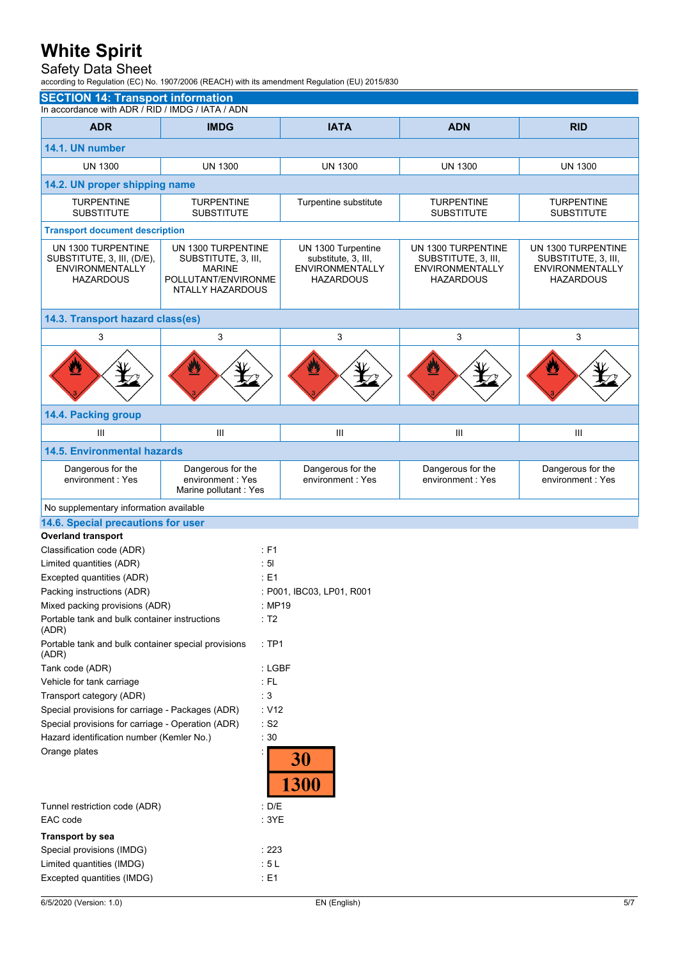### Safety Data Sheet

according to Regulation (EC) No. 1907/2006 (REACH) with its amendment Regulation (EU) 2015/830

| <b>SECTION 14: Transport information</b>                                                       |                                                                                                       |                                                                                         |                                                                                         |                                                                                         |  |  |
|------------------------------------------------------------------------------------------------|-------------------------------------------------------------------------------------------------------|-----------------------------------------------------------------------------------------|-----------------------------------------------------------------------------------------|-----------------------------------------------------------------------------------------|--|--|
| In accordance with ADR / RID / IMDG / IATA / ADN                                               |                                                                                                       |                                                                                         |                                                                                         |                                                                                         |  |  |
| <b>ADR</b>                                                                                     | <b>IMDG</b>                                                                                           | <b>IATA</b>                                                                             | <b>ADN</b>                                                                              | <b>RID</b>                                                                              |  |  |
| 14.1. UN number                                                                                |                                                                                                       |                                                                                         |                                                                                         |                                                                                         |  |  |
| <b>UN 1300</b>                                                                                 | <b>UN 1300</b>                                                                                        | <b>UN 1300</b>                                                                          | <b>UN 1300</b>                                                                          | <b>UN 1300</b>                                                                          |  |  |
|                                                                                                | 14.2. UN proper shipping name                                                                         |                                                                                         |                                                                                         |                                                                                         |  |  |
| <b>TURPENTINE</b><br><b>SUBSTITUTE</b>                                                         | <b>TURPENTINE</b><br><b>SUBSTITUTE</b>                                                                | Turpentine substitute                                                                   | <b>TURPENTINE</b><br><b>SUBSTITUTE</b>                                                  | <b>TURPENTINE</b><br><b>SUBSTITUTE</b>                                                  |  |  |
|                                                                                                | <b>Transport document description</b>                                                                 |                                                                                         |                                                                                         |                                                                                         |  |  |
| UN 1300 TURPENTINE<br>SUBSTITUTE, 3, III, (D/E),<br><b>ENVIRONMENTALLY</b><br><b>HAZARDOUS</b> | UN 1300 TURPENTINE<br>SUBSTITUTE, 3, III,<br><b>MARINE</b><br>POLLUTANT/ENVIRONME<br>NTALLY HAZARDOUS | UN 1300 Turpentine<br>substitute, 3, III,<br><b>ENVIRONMENTALLY</b><br><b>HAZARDOUS</b> | UN 1300 TURPENTINE<br>SUBSTITUTE, 3, III,<br><b>ENVIRONMENTALLY</b><br><b>HAZARDOUS</b> | UN 1300 TURPENTINE<br>SUBSTITUTE, 3, III,<br><b>ENVIRONMENTALLY</b><br><b>HAZARDOUS</b> |  |  |
| 14.3. Transport hazard class(es)                                                               |                                                                                                       |                                                                                         |                                                                                         |                                                                                         |  |  |
| 3                                                                                              | 3                                                                                                     | 3                                                                                       | 3                                                                                       | 3                                                                                       |  |  |
| Ø                                                                                              |                                                                                                       | $\mathbf{E}$                                                                            |                                                                                         |                                                                                         |  |  |
| 14.4. Packing group                                                                            |                                                                                                       |                                                                                         |                                                                                         |                                                                                         |  |  |
| Ш                                                                                              | III                                                                                                   | Ш                                                                                       | Ш                                                                                       | Ш                                                                                       |  |  |
| <b>14.5. Environmental hazards</b>                                                             |                                                                                                       |                                                                                         |                                                                                         |                                                                                         |  |  |
| Dangerous for the<br>environment: Yes                                                          | Dangerous for the<br>environment: Yes<br>Marine pollutant: Yes                                        | Dangerous for the<br>environment: Yes                                                   | Dangerous for the<br>environment: Yes                                                   | Dangerous for the<br>environment: Yes                                                   |  |  |
| No supplementary information available                                                         |                                                                                                       |                                                                                         |                                                                                         |                                                                                         |  |  |
| 14.6. Special precautions for user                                                             |                                                                                                       |                                                                                         |                                                                                         |                                                                                         |  |  |
| <b>Overland transport</b>                                                                      |                                                                                                       |                                                                                         |                                                                                         |                                                                                         |  |  |
| Classification code (ADR)<br>Limited quantities (ADR)                                          | : F1<br>: 51                                                                                          |                                                                                         |                                                                                         |                                                                                         |  |  |
| Excepted quantities (ADR)                                                                      | $E = 1$                                                                                               |                                                                                         |                                                                                         |                                                                                         |  |  |
| Packing instructions (ADR)                                                                     |                                                                                                       | : P001, IBC03, LP01, R001                                                               |                                                                                         |                                                                                         |  |  |
| Mixed packing provisions (ADR)                                                                 |                                                                                                       | : MP19                                                                                  |                                                                                         |                                                                                         |  |  |
| Portable tank and bulk container instructions                                                  | : T2                                                                                                  |                                                                                         |                                                                                         |                                                                                         |  |  |
| (ADR)<br>Portable tank and bulk container special provisions<br>:TP1<br>(ADR)                  |                                                                                                       |                                                                                         |                                                                                         |                                                                                         |  |  |
| Tank code (ADR)                                                                                |                                                                                                       | : LGBF                                                                                  |                                                                                         |                                                                                         |  |  |
| $:$ FL<br>Vehicle for tank carriage                                                            |                                                                                                       |                                                                                         |                                                                                         |                                                                                         |  |  |
| :3<br>Transport category (ADR)                                                                 |                                                                                                       |                                                                                         |                                                                                         |                                                                                         |  |  |
| Special provisions for carriage - Packages (ADR)<br>: V12                                      |                                                                                                       |                                                                                         |                                                                                         |                                                                                         |  |  |
| Special provisions for carriage - Operation (ADR)<br>$\cdot$ S2                                |                                                                                                       |                                                                                         |                                                                                         |                                                                                         |  |  |
| Hazard identification number (Kemler No.)<br>: 30                                              |                                                                                                       |                                                                                         |                                                                                         |                                                                                         |  |  |
| Orange plates                                                                                  |                                                                                                       | 30                                                                                      |                                                                                         |                                                                                         |  |  |
|                                                                                                |                                                                                                       | <b>1300</b>                                                                             |                                                                                         |                                                                                         |  |  |
| Tunnel restriction code (ADR)<br>: D/E                                                         |                                                                                                       |                                                                                         |                                                                                         |                                                                                         |  |  |
| EAC code<br>:3YE                                                                               |                                                                                                       |                                                                                         |                                                                                         |                                                                                         |  |  |
| <b>Transport by sea</b>                                                                        |                                                                                                       |                                                                                         |                                                                                         |                                                                                         |  |  |
| Special provisions (IMDG)                                                                      |                                                                                                       | : 223                                                                                   |                                                                                         |                                                                                         |  |  |
| Limited quantities (IMDG)                                                                      |                                                                                                       | : 5L                                                                                    |                                                                                         |                                                                                         |  |  |
| Excepted quantities (IMDG)                                                                     |                                                                                                       | $\div$ E1                                                                               |                                                                                         |                                                                                         |  |  |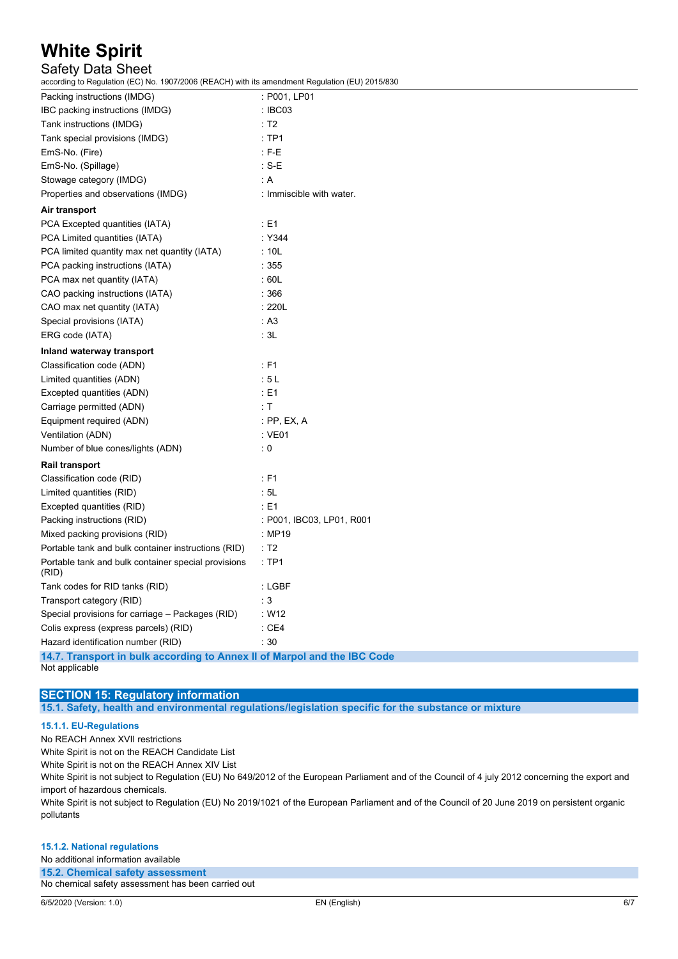### Safety Data Sheet

according to Regulation (EC) No. 1907/2006 (REACH) with its amendment Regulation (EU) 2015/830

| Packing instructions (IMDG)                                              | : P001, LP01              |
|--------------------------------------------------------------------------|---------------------------|
| IBC packing instructions (IMDG)                                          | : IBC03                   |
| Tank instructions (IMDG)                                                 | $\therefore$ T2           |
| Tank special provisions (IMDG)                                           | :TP1                      |
| EmS-No. (Fire)                                                           | $: F-E$                   |
| EmS-No. (Spillage)                                                       | $\therefore$ S-E          |
| Stowage category (IMDG)                                                  | : A                       |
| Properties and observations (IMDG)                                       | : Immiscible with water.  |
| Air transport                                                            |                           |
| PCA Excepted quantities (IATA)                                           | $\div$ E1                 |
| PCA Limited quantities (IATA)                                            | : Y344                    |
| PCA limited quantity max net quantity (IATA)                             | : 10L                     |
| PCA packing instructions (IATA)                                          | :355                      |
| PCA max net quantity (IATA)                                              | :60L                      |
| CAO packing instructions (IATA)                                          | :366                      |
| CAO max net quantity (IATA)                                              | : 220L                    |
| Special provisions (IATA)                                                | : A3                      |
| ERG code (IATA)                                                          | $\cdot$ 3L                |
| Inland waterway transport                                                |                           |
| Classification code (ADN)                                                | $\div$ F1                 |
| Limited quantities (ADN)                                                 | :5L                       |
| Excepted quantities (ADN)                                                | : E1                      |
| Carriage permitted (ADN)                                                 | : T                       |
| Equipment required (ADN)                                                 | : PP, EX, A               |
| Ventilation (ADN)                                                        | : VE01                    |
| Number of blue cones/lights (ADN)                                        | : 0                       |
| Rail transport                                                           |                           |
| Classification code (RID)                                                | : F1                      |
| Limited quantities (RID)                                                 | .5L                       |
| Excepted quantities (RID)                                                | $\div$ E1                 |
| Packing instructions (RID)                                               | : P001, IBC03, LP01, R001 |
| Mixed packing provisions (RID)                                           | : MP19                    |
| Portable tank and bulk container instructions (RID)                      | $\therefore$ T2           |
| Portable tank and bulk container special provisions<br>(RID)             | :TP1                      |
| Tank codes for RID tanks (RID)                                           | : LGBF                    |
| Transport category (RID)                                                 | $\cdot$ 3                 |
| Special provisions for carriage - Packages (RID)                         | W12                       |
| Colis express (express parcels) (RID)                                    | :CE4                      |
| Hazard identification number (RID)                                       | $\cdot$ 30                |
| 14.7. Transport in bulk according to Annex II of Marpol and the IBC Code |                           |

Not applicable

#### **SECTION 15: Regulatory information**

**15.1. Safety, health and environmental regulations/legislation specific for the substance or mixture**

#### **15.1.1. EU-Regulations**

No REACH Annex XVII restrictions

White Spirit is not on the REACH Candidate List

White Spirit is not on the REACH Annex XIV List

White Spirit is not subject to Regulation (EU) No 649/2012 of the European Parliament and of the Council of 4 july 2012 concerning the export and import of hazardous chemicals.

White Spirit is not subject to Regulation (EU) No 2019/1021 of the European Parliament and of the Council of 20 June 2019 on persistent organic pollutants

#### **15.1.2. National regulations** No additional information available

**15.2. Chemical safety assessment**

No chemical safety assessment has been carried out